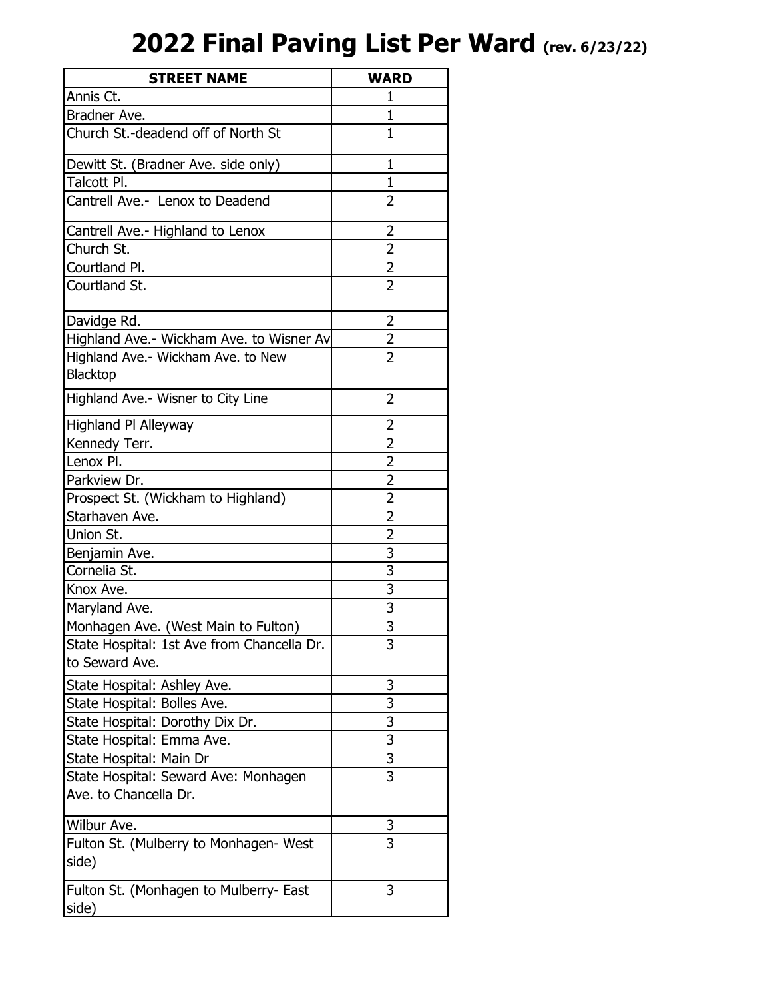## **2022 Final Paving List Per Ward (rev. 6/23/22)**

| <b>STREET NAME</b>                                           | <b>WARD</b>    |
|--------------------------------------------------------------|----------------|
| Annis Ct.                                                    | 1              |
| Bradner Ave.                                                 | $\mathbf{1}$   |
| Church St.-deadend off of North St                           | $\mathbf{1}$   |
| Dewitt St. (Bradner Ave. side only)                          | $\mathbf{1}$   |
| Talcott Pl.                                                  | $\mathbf{1}$   |
| Cantrell Ave.- Lenox to Deadend                              | 2              |
| Cantrell Ave.- Highland to Lenox                             | $\overline{2}$ |
| Church St.                                                   | $\overline{2}$ |
| Courtland Pl.                                                | $\frac{2}{2}$  |
| Courtland St.                                                |                |
| Davidge Rd.                                                  | 2              |
| Highland Ave.- Wickham Ave. to Wisner Av                     | $\overline{2}$ |
| Highland Ave.- Wickham Ave. to New<br><b>Blacktop</b>        | $\overline{2}$ |
| Highland Ave.- Wisner to City Line                           | $\overline{2}$ |
| <b>Highland PI Alleyway</b>                                  | 2              |
| Kennedy Terr.                                                | 2              |
| Lenox Pl.                                                    | $\overline{2}$ |
| Parkview Dr.                                                 | $\overline{2}$ |
| Prospect St. (Wickham to Highland)                           | $\overline{2}$ |
| Starhaven Ave.                                               | $\overline{2}$ |
| Union St.                                                    | $\overline{2}$ |
| Benjamin Ave.                                                | $rac{3}{3}$    |
| Cornelia St.                                                 |                |
| Knox Ave.                                                    | $\overline{3}$ |
| Maryland Ave.                                                | $\overline{3}$ |
| Monhagen Ave. (West Main to Fulton)                          | $\overline{3}$ |
| State Hospital: 1st Ave from Chancella Dr.<br>to Seward Ave. | 3              |
| State Hospital: Ashley Ave.                                  | 3              |
| State Hospital: Bolles Ave.                                  | 3              |
| State Hospital: Dorothy Dix Dr.                              |                |
| State Hospital: Emma Ave.                                    | $\frac{3}{3}$  |
| State Hospital: Main Dr                                      | $\overline{3}$ |
| State Hospital: Seward Ave: Monhagen                         | 3              |
| Ave. to Chancella Dr.                                        |                |
| Wilbur Ave.                                                  | 3              |
| Fulton St. (Mulberry to Monhagen- West<br>side)              | 3              |
| Fulton St. (Monhagen to Mulberry- East<br>side)              | 3              |